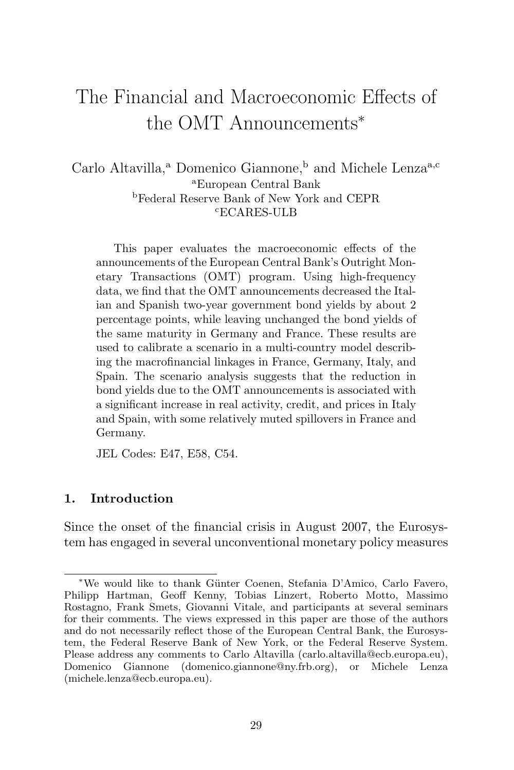# The Financial and Macroeconomic Effects of the OMT Announcements<sup>∗</sup>

Carlo Altavilla,<sup>a</sup> Domenico Giannone,<sup>b</sup> and Michele Lenza<sup>a,c</sup> <sup>a</sup>European Central Bank <sup>b</sup>Federal Reserve Bank of New York and CEPR <sup>c</sup>ECARES-ULB

This paper evaluates the macroeconomic effects of the announcements of the European Central Bank's Outright Monetary Transactions (OMT) program. Using high-frequency data, we find that the OMT announcements decreased the Italian and Spanish two-year government bond yields by about 2 percentage points, while leaving unchanged the bond yields of the same maturity in Germany and France. These results are used to calibrate a scenario in a multi-country model describing the macrofinancial linkages in France, Germany, Italy, and Spain. The scenario analysis suggests that the reduction in bond yields due to the OMT announcements is associated with a significant increase in real activity, credit, and prices in Italy and Spain, with some relatively muted spillovers in France and Germany.

JEL Codes: E47, E58, C54.

#### **1. Introduction**

Since the onset of the financial crisis in August 2007, the Eurosystem has engaged in several unconventional monetary policy measures

<sup>∗</sup>We would like to thank G¨unter Coenen, Stefania D'Amico, Carlo Favero, Philipp Hartman, Geoff Kenny, Tobias Linzert, Roberto Motto, Massimo Rostagno, Frank Smets, Giovanni Vitale, and participants at several seminars for their comments. The views expressed in this paper are those of the authors and do not necessarily reflect those of the European Central Bank, the Eurosystem, the Federal Reserve Bank of New York, or the Federal Reserve System. Please address any comments to Carlo Altavilla (carlo.altavilla@ecb.europa.eu), Domenico Giannone (domenico.giannone@ny.frb.org), or Michele Lenza (michele.lenza@ecb.europa.eu).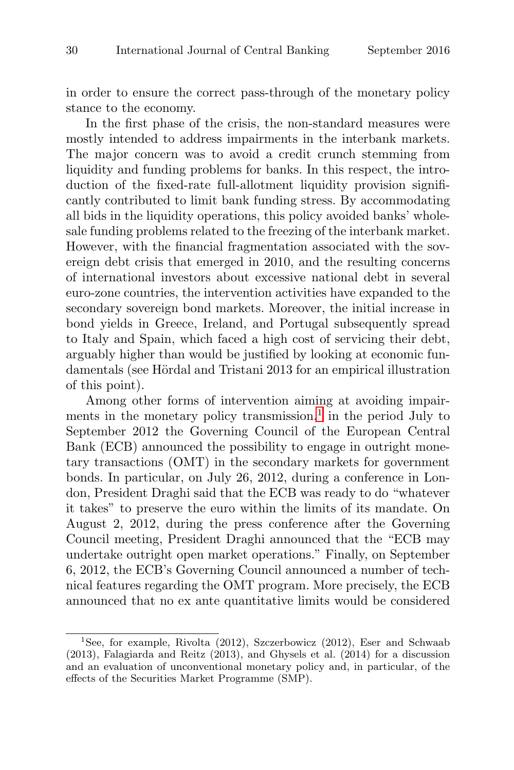in order to ensure the correct pass-through of the monetary policy stance to the economy.

In the first phase of the crisis, the non-standard measures were mostly intended to address impairments in the interbank markets. The major concern was to avoid a credit crunch stemming from liquidity and funding problems for banks. In this respect, the introduction of the fixed-rate full-allotment liquidity provision significantly contributed to limit bank funding stress. By accommodating all bids in the liquidity operations, this policy avoided banks' wholesale funding problems related to the freezing of the interbank market. However, with the financial fragmentation associated with the sovereign debt crisis that emerged in 2010, and the resulting concerns of international investors about excessive national debt in several euro-zone countries, the intervention activities have expanded to the secondary sovereign bond markets. Moreover, the initial increase in bond yields in Greece, Ireland, and Portugal subsequently spread to Italy and Spain, which faced a high cost of servicing their debt, arguably higher than would be justified by looking at economic fundamentals (see Hördal and Tristani 2013 for an empirical illustration of this point).

Among other forms of intervention aiming at avoiding impairments in the monetary policy transmission, $\frac{1}{1}$  in the period July to September 2012 the Governing Council of the European Central Bank (ECB) announced the possibility to engage in outright monetary transactions (OMT) in the secondary markets for government bonds. In particular, on July 26, 2012, during a conference in London, President Draghi said that the ECB was ready to do "whatever it takes" to preserve the euro within the limits of its mandate. On August 2, 2012, during the press conference after the Governing Council meeting, President Draghi announced that the "ECB may undertake outright open market operations." Finally, on September 6, 2012, the ECB's Governing Council announced a number of technical features regarding the OMT program. More precisely, the ECB announced that no ex ante quantitative limits would be considered

<sup>&</sup>lt;sup>1</sup>See, for example, Rivolta (2012), Szczerbowicz (2012), Eser and Schwaab (2013), Falagiarda and Reitz (2013), and Ghysels et al. (2014) for a discussion and an evaluation of unconventional monetary policy and, in particular, of the effects of the Securities Market Programme (SMP).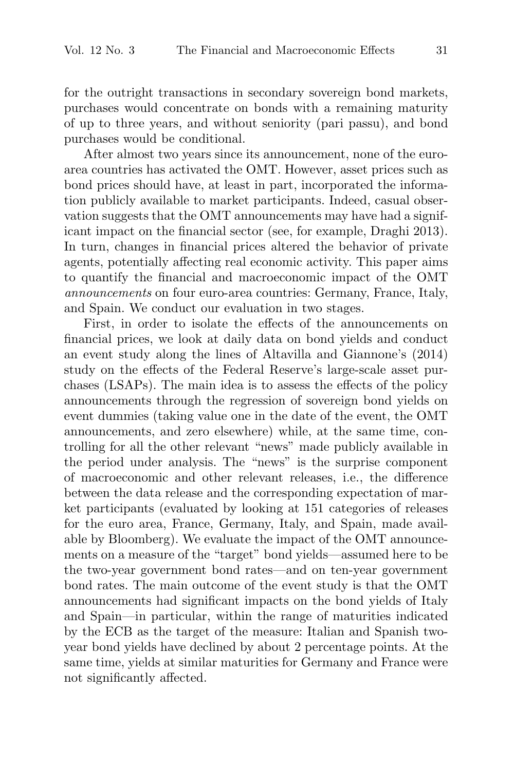for the outright transactions in secondary sovereign bond markets, purchases would concentrate on bonds with a remaining maturity of up to three years, and without seniority (pari passu), and bond purchases would be conditional.

After almost two years since its announcement, none of the euroarea countries has activated the OMT. However, asset prices such as bond prices should have, at least in part, incorporated the information publicly available to market participants. Indeed, casual observation suggests that the OMT announcements may have had a significant impact on the financial sector (see, for example, Draghi 2013). In turn, changes in financial prices altered the behavior of private agents, potentially affecting real economic activity. This paper aims to quantify the financial and macroeconomic impact of the OMT announcements on four euro-area countries: Germany, France, Italy, and Spain. We conduct our evaluation in two stages.

First, in order to isolate the effects of the announcements on financial prices, we look at daily data on bond yields and conduct an event study along the lines of Altavilla and Giannone's (2014) study on the effects of the Federal Reserve's large-scale asset purchases (LSAPs). The main idea is to assess the effects of the policy announcements through the regression of sovereign bond yields on event dummies (taking value one in the date of the event, the OMT announcements, and zero elsewhere) while, at the same time, controlling for all the other relevant "news" made publicly available in the period under analysis. The "news" is the surprise component of macroeconomic and other relevant releases, i.e., the difference between the data release and the corresponding expectation of market participants (evaluated by looking at 151 categories of releases for the euro area, France, Germany, Italy, and Spain, made available by Bloomberg). We evaluate the impact of the OMT announcements on a measure of the "target" bond yields—assumed here to be the two-year government bond rates—and on ten-year government bond rates. The main outcome of the event study is that the OMT announcements had significant impacts on the bond yields of Italy and Spain—in particular, within the range of maturities indicated by the ECB as the target of the measure: Italian and Spanish twoyear bond yields have declined by about 2 percentage points. At the same time, yields at similar maturities for Germany and France were not significantly affected.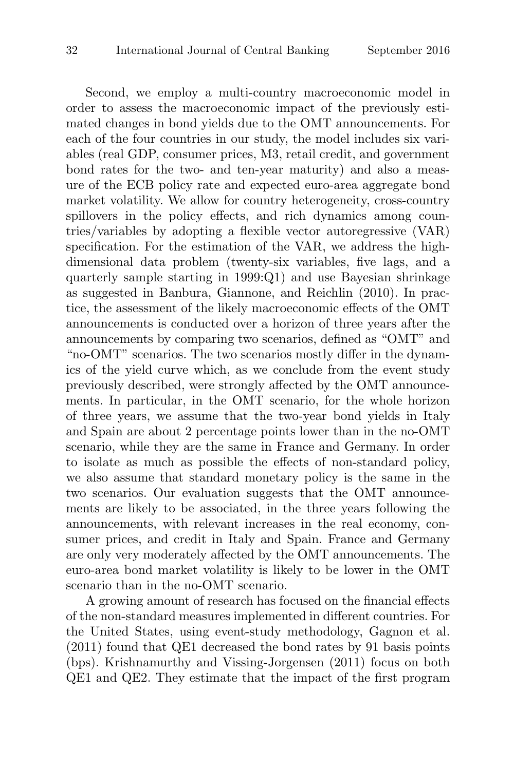Second, we employ a multi-country macroeconomic model in order to assess the macroeconomic impact of the previously estimated changes in bond yields due to the OMT announcements. For each of the four countries in our study, the model includes six variables (real GDP, consumer prices, M3, retail credit, and government bond rates for the two- and ten-year maturity) and also a measure of the ECB policy rate and expected euro-area aggregate bond market volatility. We allow for country heterogeneity, cross-country spillovers in the policy effects, and rich dynamics among countries/variables by adopting a flexible vector autoregressive (VAR) specification. For the estimation of the VAR, we address the highdimensional data problem (twenty-six variables, five lags, and a quarterly sample starting in 1999:Q1) and use Bayesian shrinkage as suggested in Banbura, Giannone, and Reichlin (2010). In practice, the assessment of the likely macroeconomic effects of the OMT announcements is conducted over a horizon of three years after the announcements by comparing two scenarios, defined as "OMT" and "no-OMT" scenarios. The two scenarios mostly differ in the dynamics of the yield curve which, as we conclude from the event study previously described, were strongly affected by the OMT announcements. In particular, in the OMT scenario, for the whole horizon of three years, we assume that the two-year bond yields in Italy and Spain are about 2 percentage points lower than in the no-OMT scenario, while they are the same in France and Germany. In order to isolate as much as possible the effects of non-standard policy, we also assume that standard monetary policy is the same in the two scenarios. Our evaluation suggests that the OMT announcements are likely to be associated, in the three years following the announcements, with relevant increases in the real economy, consumer prices, and credit in Italy and Spain. France and Germany are only very moderately affected by the OMT announcements. The euro-area bond market volatility is likely to be lower in the OMT scenario than in the no-OMT scenario.

A growing amount of research has focused on the financial effects of the non-standard measures implemented in different countries. For the United States, using event-study methodology, Gagnon et al. (2011) found that QE1 decreased the bond rates by 91 basis points (bps). Krishnamurthy and Vissing-Jorgensen (2011) focus on both QE1 and QE2. They estimate that the impact of the first program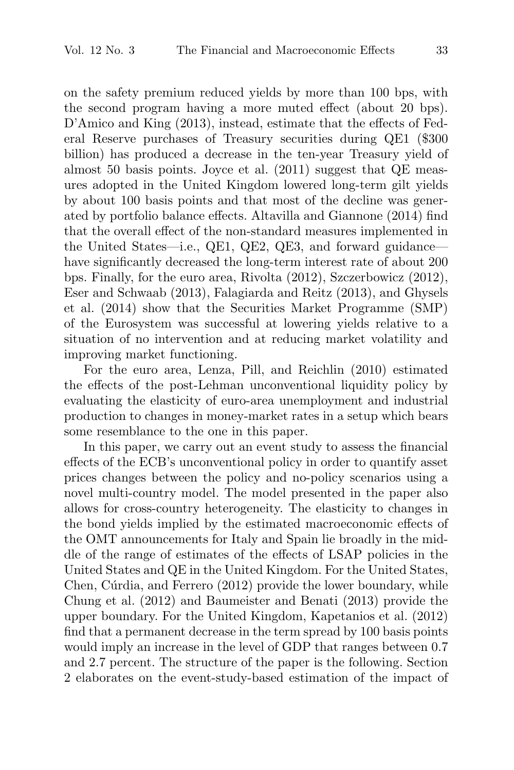on the safety premium reduced yields by more than 100 bps, with the second program having a more muted effect (about 20 bps). D'Amico and King (2013), instead, estimate that the effects of Federal Reserve purchases of Treasury securities during QE1 (\$300 billion) has produced a decrease in the ten-year Treasury yield of almost 50 basis points. Joyce et al. (2011) suggest that QE measures adopted in the United Kingdom lowered long-term gilt yields by about 100 basis points and that most of the decline was generated by portfolio balance effects. Altavilla and Giannone (2014) find that the overall effect of the non-standard measures implemented in the United States—i.e., QE1, QE2, QE3, and forward guidance have significantly decreased the long-term interest rate of about 200 bps. Finally, for the euro area, Rivolta (2012), Szczerbowicz (2012), Eser and Schwaab (2013), Falagiarda and Reitz (2013), and Ghysels et al. (2014) show that the Securities Market Programme (SMP) of the Eurosystem was successful at lowering yields relative to a situation of no intervention and at reducing market volatility and improving market functioning.

For the euro area, Lenza, Pill, and Reichlin (2010) estimated the effects of the post-Lehman unconventional liquidity policy by evaluating the elasticity of euro-area unemployment and industrial production to changes in money-market rates in a setup which bears some resemblance to the one in this paper.

In this paper, we carry out an event study to assess the financial effects of the ECB's unconventional policy in order to quantify asset prices changes between the policy and no-policy scenarios using a novel multi-country model. The model presented in the paper also allows for cross-country heterogeneity. The elasticity to changes in the bond yields implied by the estimated macroeconomic effects of the OMT announcements for Italy and Spain lie broadly in the middle of the range of estimates of the effects of LSAP policies in the United States and QE in the United Kingdom. For the United States, Chen, Cúrdia, and Ferrero  $(2012)$  provide the lower boundary, while Chung et al. (2012) and Baumeister and Benati (2013) provide the upper boundary. For the United Kingdom, Kapetanios et al. (2012) find that a permanent decrease in the term spread by 100 basis points would imply an increase in the level of GDP that ranges between 0.7 and 2.7 percent. The structure of the paper is the following. Section 2 elaborates on the event-study-based estimation of the impact of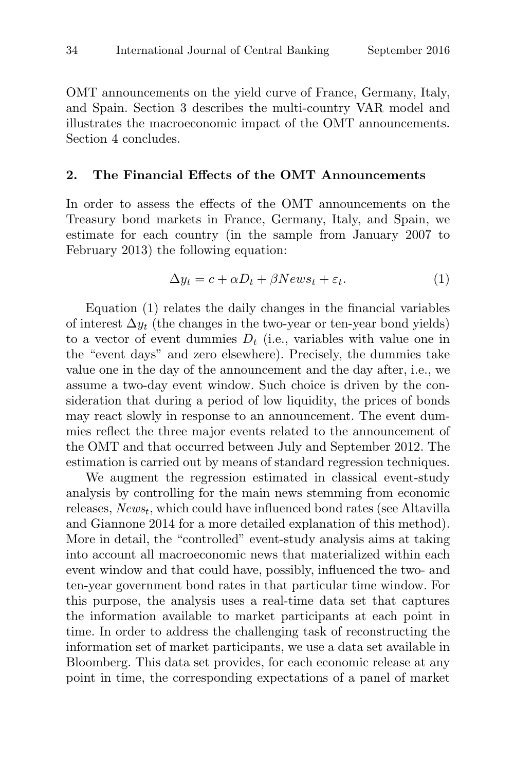OMT announcements on the yield curve of France, Germany, Italy, and Spain. Section 3 describes the multi-country VAR model and illustrates the macroeconomic impact of the OMT announcements. Section 4 concludes.

#### **2. The Financial Effects of the OMT Announcements**

In order to assess the effects of the OMT announcements on the Treasury bond markets in France, Germany, Italy, and Spain, we estimate for each country (in the sample from January 2007 to February 2013) the following equation:

$$
\Delta y_t = c + \alpha D_t + \beta News_t + \varepsilon_t. \tag{1}
$$

Equation (1) relates the daily changes in the financial variables of interest  $\Delta y_t$  (the changes in the two-year or ten-year bond yields) to a vector of event dummies  $D_t$  (i.e., variables with value one in the "event days" and zero elsewhere). Precisely, the dummies take value one in the day of the announcement and the day after, i.e., we assume a two-day event window. Such choice is driven by the consideration that during a period of low liquidity, the prices of bonds may react slowly in response to an announcement. The event dummies reflect the three major events related to the announcement of the OMT and that occurred between July and September 2012. The estimation is carried out by means of standard regression techniques.

We augment the regression estimated in classical event-study analysis by controlling for the main news stemming from economic releases,  $News_t$ , which could have influenced bond rates (see Altavilla and Giannone 2014 for a more detailed explanation of this method). More in detail, the "controlled" event-study analysis aims at taking into account all macroeconomic news that materialized within each event window and that could have, possibly, influenced the two- and ten-year government bond rates in that particular time window. For this purpose, the analysis uses a real-time data set that captures the information available to market participants at each point in time. In order to address the challenging task of reconstructing the information set of market participants, we use a data set available in Bloomberg. This data set provides, for each economic release at any point in time, the corresponding expectations of a panel of market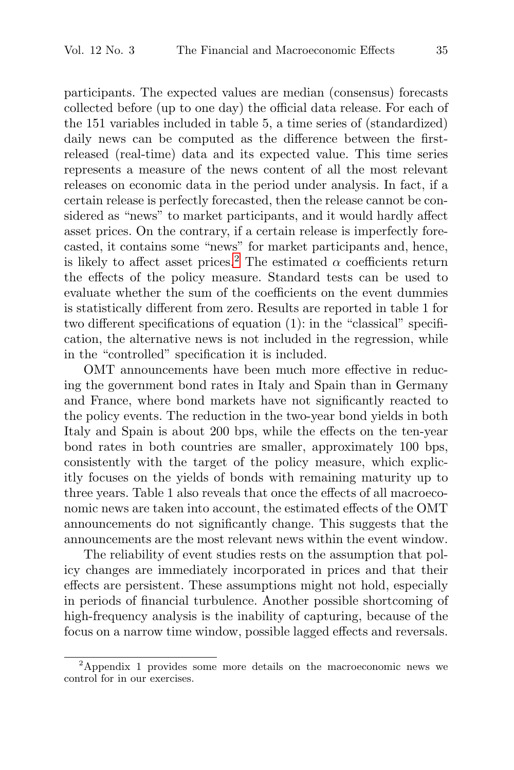participants. The expected values are median (consensus) forecasts collected before (up to one day) the official data release. For each of the 151 variables included in table 5, a time series of (standardized) daily news can be computed as the difference between the firstreleased (real-time) data and its expected value. This time series represents a measure of the news content of all the most relevant releases on economic data in the period under analysis. In fact, if a certain release is perfectly forecasted, then the release cannot be considered as "news" to market participants, and it would hardly affect asset prices. On the contrary, if a certain release is imperfectly forecasted, it contains some "news" for market participants and, hence, is likely to affect asset prices.<sup>2</sup> The estimated  $\alpha$  coefficients return the effects of the policy measure. Standard tests can be used to evaluate whether the sum of the coefficients on the event dummies is statistically different from zero. Results are reported in table 1 for two different specifications of equation (1): in the "classical" specification, the alternative news is not included in the regression, while in the "controlled" specification it is included.

OMT announcements have been much more effective in reducing the government bond rates in Italy and Spain than in Germany and France, where bond markets have not significantly reacted to the policy events. The reduction in the two-year bond yields in both Italy and Spain is about 200 bps, while the effects on the ten-year bond rates in both countries are smaller, approximately 100 bps, consistently with the target of the policy measure, which explicitly focuses on the yields of bonds with remaining maturity up to three years. Table 1 also reveals that once the effects of all macroeconomic news are taken into account, the estimated effects of the OMT announcements do not significantly change. This suggests that the announcements are the most relevant news within the event window.

The reliability of event studies rests on the assumption that policy changes are immediately incorporated in prices and that their effects are persistent. These assumptions might not hold, especially in periods of financial turbulence. Another possible shortcoming of high-frequency analysis is the inability of capturing, because of the focus on a narrow time window, possible lagged effects and reversals.

<sup>&</sup>lt;sup>2</sup>Appendix 1 provides some more details on the macroeconomic news we control for in our exercises.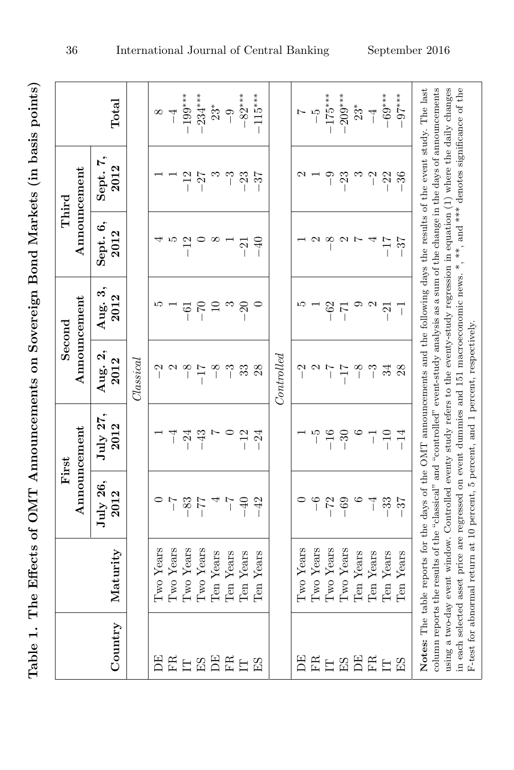| $\overline{a}$<br>ĺ |
|---------------------|
|                     |
|                     |
|                     |
| i<br>I              |
| <br> <br>           |
|                     |
|                     |
| l<br>l              |
|                     |
| ׇ֠                  |
| ׇ֠                  |
| l<br>l              |

|                  |                                                                                                                                                                                                                                                                                                                                                                                                                                                                                                                                                                |                  | Announcement<br>First |                                                     | Announcement<br>Second | Third            | Announcement     |                        |
|------------------|----------------------------------------------------------------------------------------------------------------------------------------------------------------------------------------------------------------------------------------------------------------------------------------------------------------------------------------------------------------------------------------------------------------------------------------------------------------------------------------------------------------------------------------------------------------|------------------|-----------------------|-----------------------------------------------------|------------------------|------------------|------------------|------------------------|
| Country          | Maturity                                                                                                                                                                                                                                                                                                                                                                                                                                                                                                                                                       | July 26,<br>2012 | July 27,<br>2012      | Aug. 2,<br>2012                                     | Aug. 3,<br>2012        | Sept. 6,<br>2012 | Sept. 7,<br>2012 | Total                  |
|                  |                                                                                                                                                                                                                                                                                                                                                                                                                                                                                                                                                                |                  |                       | $\mathcal{I}^{lassical}$                            |                        |                  |                  |                        |
| Ë                | Iwo Years                                                                                                                                                                                                                                                                                                                                                                                                                                                                                                                                                      |                  |                       |                                                     |                        |                  |                  | $\frac{1}{\sqrt{2}}$   |
| FR               | $\Gamma$ wo Years                                                                                                                                                                                                                                                                                                                                                                                                                                                                                                                                              | $\overline{1}$   | ₹                     | $\frac{2}{1}$                                       |                        | ro               |                  |                        |
| Ë                | Iwo Years                                                                                                                                                                                                                                                                                                                                                                                                                                                                                                                                                      | $-83$            | $-24$                 | $-8$                                                | $-61$                  | $^{12}$          | $-12$            | $-199***$              |
| <b>HS</b>        | I'wo Years                                                                                                                                                                                                                                                                                                                                                                                                                                                                                                                                                     | $-77$            | $-43$                 | $-17$                                               | $-70$                  |                  | $-27$            | $-234***$              |
|                  | Ten Years                                                                                                                                                                                                                                                                                                                                                                                                                                                                                                                                                      | $\overline{a}$   |                       | $-8$                                                | $\Xi$                  | $\infty$         | $\infty$         | $\stackrel{*}{\sim} 9$ |
| EE               | Ten Years                                                                                                                                                                                                                                                                                                                                                                                                                                                                                                                                                      | $\overline{1}$   |                       | $\tilde{c}$                                         | $\infty$               |                  | ှိ               |                        |
|                  | Ten Years                                                                                                                                                                                                                                                                                                                                                                                                                                                                                                                                                      | $-40$            | $-12$                 | 33                                                  | $\Omega$               | $-21$            | $-23$            | $-82***$               |
| $\mathbb{E}$     | Ten Years                                                                                                                                                                                                                                                                                                                                                                                                                                                                                                                                                      | $-42$            | $-24$                 | 28                                                  |                        | $-40$            | $-37$            | $-115***$              |
|                  |                                                                                                                                                                                                                                                                                                                                                                                                                                                                                                                                                                |                  |                       | $\it Controlved$                                    |                        |                  |                  |                        |
| Ë                | Two Years                                                                                                                                                                                                                                                                                                                                                                                                                                                                                                                                                      |                  |                       | $^{-2}$                                             |                        |                  |                  |                        |
| <b>FR</b>        | Iwo Years                                                                                                                                                                                                                                                                                                                                                                                                                                                                                                                                                      | $\tilde{e}$      | ما                    | $\begin{array}{c} \sim \\ \sim \\ \sim \end{array}$ |                        | $\mathfrak{a}$   |                  | $\frac{1}{2}$          |
| $\overline{\Xi}$ | Two Years                                                                                                                                                                                                                                                                                                                                                                                                                                                                                                                                                      | $-72$            | $-16$                 |                                                     | $-62$                  | $-8$             | $-9$             | $-175***$              |
| $\Xi$            | Two Years                                                                                                                                                                                                                                                                                                                                                                                                                                                                                                                                                      | $-69$            | $-30$                 | $-17$                                               | $-7$                   | $\mathbf{c}$     | $-23$            | $-209***$              |
| $\mathbb{E}$     | Ten Years                                                                                                                                                                                                                                                                                                                                                                                                                                                                                                                                                      | $\circ$          |                       | $-8$                                                |                        | L,               | $\infty$         | $23^{\ast}$            |
| ER               | Ten Years                                                                                                                                                                                                                                                                                                                                                                                                                                                                                                                                                      | $\vec{\ }$       | T                     | $\tilde{ }$                                         | $\mathbf{\Omega}$      |                  | $\overline{C}$   | $\overline{1}$         |
| $\overline{\Xi}$ | Ten Years                                                                                                                                                                                                                                                                                                                                                                                                                                                                                                                                                      | $-33$            | $-10$                 | 34                                                  | $\mathbf{z}$           | $-17$            | $-22$            | $-69***$               |
| E <sub>2</sub>   | Ten Years                                                                                                                                                                                                                                                                                                                                                                                                                                                                                                                                                      | $-37$            | $-14$                 | 28                                                  | ī                      | $-37$            | $-36$            | $-97***$               |
|                  | column reports the results of the "classical" and "controlled" event-study analysis as a sum of the change in the days of announcements<br>using a two-day event window. Controlled eventy study refers to the eventy-study regression in equation (1) where the daily changes<br>in each selected asset price are regressed on event dummies and 151 macroeconomic news. $*$ , $**$ , and $***$ denotes significance of the<br>Notes: The table reports for the days of the OMT announcements and the following days the results of the event study. The last |                  |                       |                                                     |                        |                  |                  |                        |
|                  | F-test for abnormal return at 10 percent, 5 percent, and 1 percent, respectively,                                                                                                                                                                                                                                                                                                                                                                                                                                                                              |                  |                       |                                                     |                        |                  |                  |                        |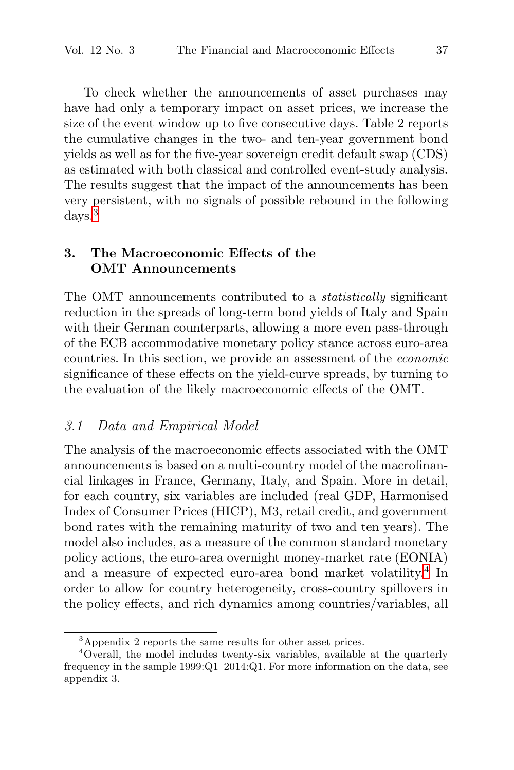To check whether the announcements of asset purchases may have had only a temporary impact on asset prices, we increase the size of the event window up to five consecutive days. Table 2 reports the cumulative changes in the two- and ten-year government bond yields as well as for the five-year sovereign credit default swap (CDS) as estimated with both classical and controlled event-study analysis. The results suggest that the impact of the announcements has been very persistent, with no signals of possible rebound in the following days.<sup>3</sup>

#### **3. The Macroeconomic Effects of the OMT Announcements**

The OMT announcements contributed to a *statistically* significant reduction in the spreads of long-term bond yields of Italy and Spain with their German counterparts, allowing a more even pass-through of the ECB accommodative monetary policy stance across euro-area countries. In this section, we provide an assessment of the economic significance of these effects on the yield-curve spreads, by turning to the evaluation of the likely macroeconomic effects of the OMT.

# 3.1 Data and Empirical Model

The analysis of the macroeconomic effects associated with the OMT announcements is based on a multi-country model of the macrofinancial linkages in France, Germany, Italy, and Spain. More in detail, for each country, six variables are included (real GDP, Harmonised Index of Consumer Prices (HICP), M3, retail credit, and government bond rates with the remaining maturity of two and ten years). The model also includes, as a measure of the common standard monetary policy actions, the euro-area overnight money-market rate (EONIA) and a measure of expected euro-area bond market volatility.<sup>4</sup> In order to allow for country heterogeneity, cross-country spillovers in the policy effects, and rich dynamics among countries/variables, all

<sup>3</sup>Appendix 2 reports the same results for other asset prices.

<sup>4</sup>Overall, the model includes twenty-six variables, available at the quarterly frequency in the sample 1999:Q1–2014:Q1. For more information on the data, see appendix 3.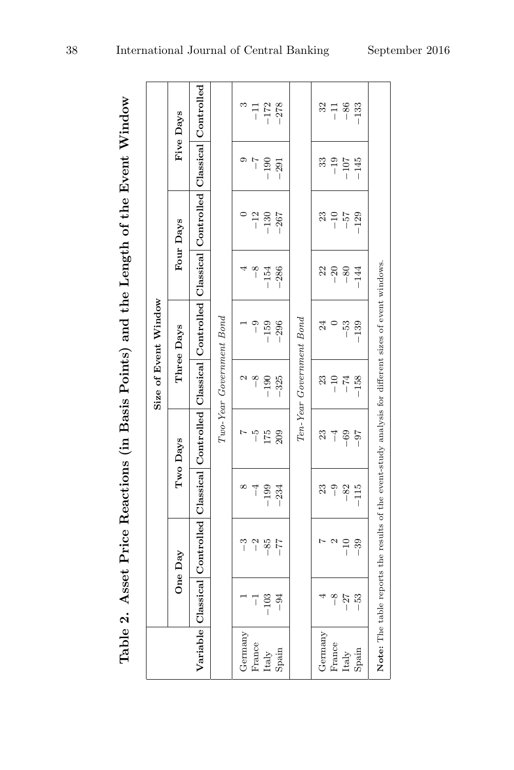|          |           |                           |           | Table 2. Asset Price Reactions (in Basis Points) and the Length of the Event Window                   |                          |                                                     |        |                 |                |                   |
|----------|-----------|---------------------------|-----------|-------------------------------------------------------------------------------------------------------|--------------------------|-----------------------------------------------------|--------|-----------------|----------------|-------------------|
|          |           |                           |           |                                                                                                       |                          | Size of Event Window                                |        |                 |                |                   |
|          |           | One Day                   |           | Two Days                                                                                              |                          | Three Days                                          |        | Four Days       |                | Five Days         |
| Variable | Classical |                           |           | Controlled Classical Controlled                                                                       |                          | Classical Controlled Classical Controlled Classical |        |                 |                | Controlled        |
|          |           |                           |           |                                                                                                       | Two-Year Government Bond |                                                     |        |                 |                |                   |
| Germany  |           | $\degree$                 | ∞         |                                                                                                       |                          |                                                     |        |                 |                | $\mathfrak{S}$    |
| France   | ī         | $^{-2}$                   | $\vec{a}$ | مّا                                                                                                   | $-8$                     | $\overline{\phantom{0}}$                            | $-8$   | $-12$           | $\overline{a}$ | $\overline{1}$    |
| Italy    | $-103$    | $-85$                     | $-199$    | 175                                                                                                   | $-190$                   | $-159$                                              | $-154$ | $-130$          | $-190$         | $-172$            |
| Spain    | $-94$     | $\mathbb{Z} \mathbb{Z} -$ | $-234$    | 209                                                                                                   | $-325$                   | $-296$                                              | $-286$ | $-267$          | $-291$         | $-278$            |
|          |           |                           |           |                                                                                                       | Ten-Year Government Bond |                                                     |        |                 |                |                   |
| Germany  |           |                           | 23        | 23                                                                                                    | 23                       | 24                                                  | 22     | 23              | 33             | 32                |
| France   | $-8$      | $\mathfrak{a}$            | $-9$      | $\overline{1}$                                                                                        | $^{-10}$                 | $\circ$                                             | $-20$  | $-\frac{57}{7}$ | $-101$         | $\frac{-11}{-86}$ |
| Italy    | $-27$     | $-10$                     | $-82$     | $-69$                                                                                                 | $-74$                    | $-53$                                               | $-80$  |                 |                |                   |
| Spain    | $-53$     | $-39$                     | $-115$    | $-97$                                                                                                 | $-158$                   | $-139$                                              | $-144$ | $-129$          | $-145$         | $-133$            |
|          |           |                           |           | Note: The table reports the results of the event-study analysis for different sizes of event windows. |                          |                                                     |        |                 |                |                   |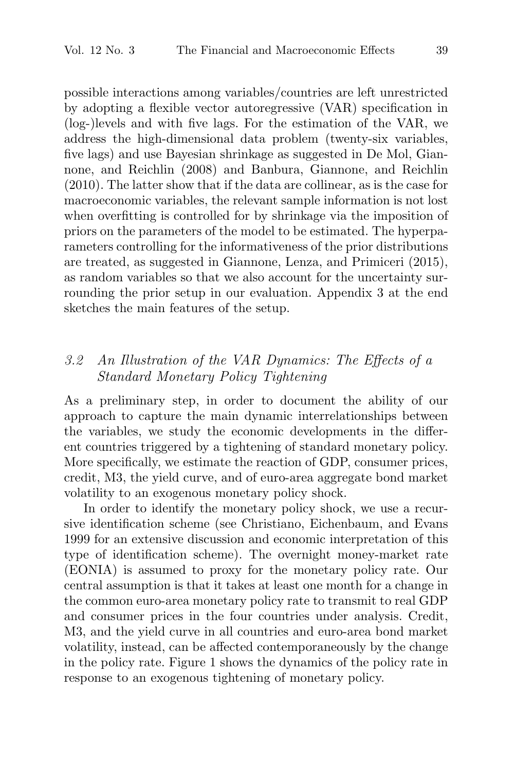possible interactions among variables/countries are left unrestricted by adopting a flexible vector autoregressive (VAR) specification in (log-)levels and with five lags. For the estimation of the VAR, we address the high-dimensional data problem (twenty-six variables, five lags) and use Bayesian shrinkage as suggested in De Mol, Giannone, and Reichlin (2008) and Banbura, Giannone, and Reichlin (2010). The latter show that if the data are collinear, as is the case for macroeconomic variables, the relevant sample information is not lost when overfitting is controlled for by shrinkage via the imposition of priors on the parameters of the model to be estimated. The hyperparameters controlling for the informativeness of the prior distributions are treated, as suggested in Giannone, Lenza, and Primiceri (2015), as random variables so that we also account for the uncertainty surrounding the prior setup in our evaluation. Appendix 3 at the end sketches the main features of the setup.

# 3.2 An Illustration of the VAR Dynamics: The Effects of a Standard Monetary Policy Tightening

As a preliminary step, in order to document the ability of our approach to capture the main dynamic interrelationships between the variables, we study the economic developments in the different countries triggered by a tightening of standard monetary policy. More specifically, we estimate the reaction of GDP, consumer prices, credit, M3, the yield curve, and of euro-area aggregate bond market volatility to an exogenous monetary policy shock.

In order to identify the monetary policy shock, we use a recursive identification scheme (see Christiano, Eichenbaum, and Evans 1999 for an extensive discussion and economic interpretation of this type of identification scheme). The overnight money-market rate (EONIA) is assumed to proxy for the monetary policy rate. Our central assumption is that it takes at least one month for a change in the common euro-area monetary policy rate to transmit to real GDP and consumer prices in the four countries under analysis. Credit, M3, and the yield curve in all countries and euro-area bond market volatility, instead, can be affected contemporaneously by the change in the policy rate. Figure 1 shows the dynamics of the policy rate in response to an exogenous tightening of monetary policy.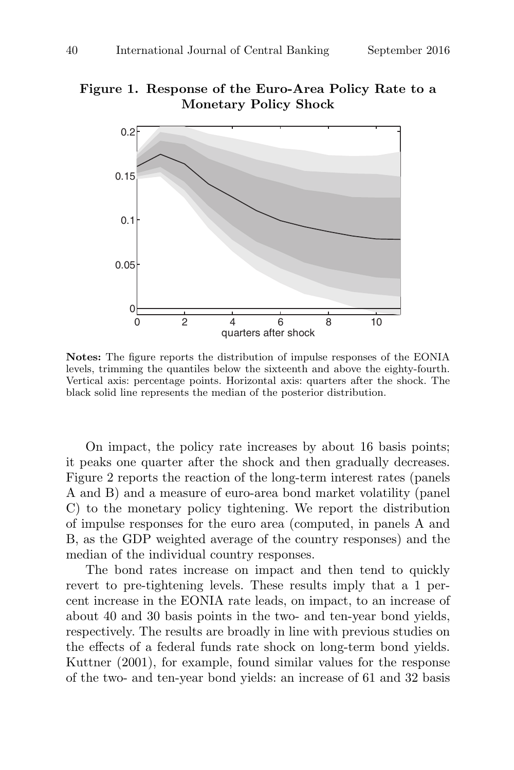#### **Figure 1. Response of the Euro-Area Policy Rate to a Monetary Policy Shock**



**Notes:** The figure reports the distribution of impulse responses of the EONIA levels, trimming the quantiles below the sixteenth and above the eighty-fourth. Vertical axis: percentage points. Horizontal axis: quarters after the shock. The black solid line represents the median of the posterior distribution.

On impact, the policy rate increases by about 16 basis points; it peaks one quarter after the shock and then gradually decreases. Figure 2 reports the reaction of the long-term interest rates (panels A and B) and a measure of euro-area bond market volatility (panel C) to the monetary policy tightening. We report the distribution of impulse responses for the euro area (computed, in panels A and B, as the GDP weighted average of the country responses) and the median of the individual country responses.

The bond rates increase on impact and then tend to quickly revert to pre-tightening levels. These results imply that a 1 percent increase in the EONIA rate leads, on impact, to an increase of about 40 and 30 basis points in the two- and ten-year bond yields, respectively. The results are broadly in line with previous studies on the effects of a federal funds rate shock on long-term bond yields. Kuttner (2001), for example, found similar values for the response of the two- and ten-year bond yields: an increase of 61 and 32 basis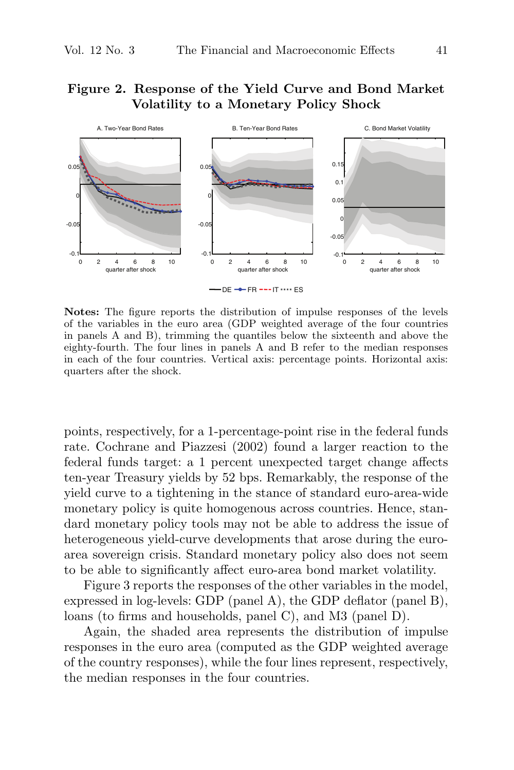# **Figure 2. Response of the Yield Curve and Bond Market Volatility to a Monetary Policy Shock**



**Notes:** The figure reports the distribution of impulse responses of the levels of the variables in the euro area (GDP weighted average of the four countries in panels A and B), trimming the quantiles below the sixteenth and above the eighty-fourth. The four lines in panels A and B refer to the median responses in each of the four countries. Vertical axis: percentage points. Horizontal axis: quarters after the shock.

points, respectively, for a 1-percentage-point rise in the federal funds rate. Cochrane and Piazzesi (2002) found a larger reaction to the federal funds target: a 1 percent unexpected target change affects ten-year Treasury yields by 52 bps. Remarkably, the response of the yield curve to a tightening in the stance of standard euro-area-wide monetary policy is quite homogenous across countries. Hence, standard monetary policy tools may not be able to address the issue of heterogeneous yield-curve developments that arose during the euroarea sovereign crisis. Standard monetary policy also does not seem to be able to significantly affect euro-area bond market volatility.

Figure 3 reports the responses of the other variables in the model, expressed in log-levels: GDP (panel A), the GDP deflator (panel B), loans (to firms and households, panel C), and M3 (panel D).

Again, the shaded area represents the distribution of impulse responses in the euro area (computed as the GDP weighted average of the country responses), while the four lines represent, respectively, the median responses in the four countries.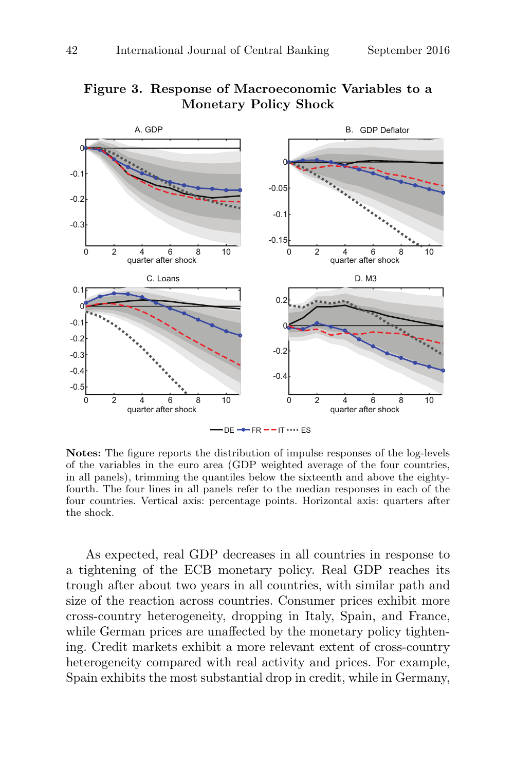

# **Figure 3. Response of Macroeconomic Variables to a Monetary Policy Shock**

**Notes:** The figure reports the distribution of impulse responses of the log-levels of the variables in the euro area (GDP weighted average of the four countries, in all panels), trimming the quantiles below the sixteenth and above the eightyfourth. The four lines in all panels refer to the median responses in each of the four countries. Vertical axis: percentage points. Horizontal axis: quarters after the shock.

As expected, real GDP decreases in all countries in response to a tightening of the ECB monetary policy. Real GDP reaches its trough after about two years in all countries, with similar path and size of the reaction across countries. Consumer prices exhibit more cross-country heterogeneity, dropping in Italy, Spain, and France, while German prices are unaffected by the monetary policy tightening. Credit markets exhibit a more relevant extent of cross-country heterogeneity compared with real activity and prices. For example, Spain exhibits the most substantial drop in credit, while in Germany,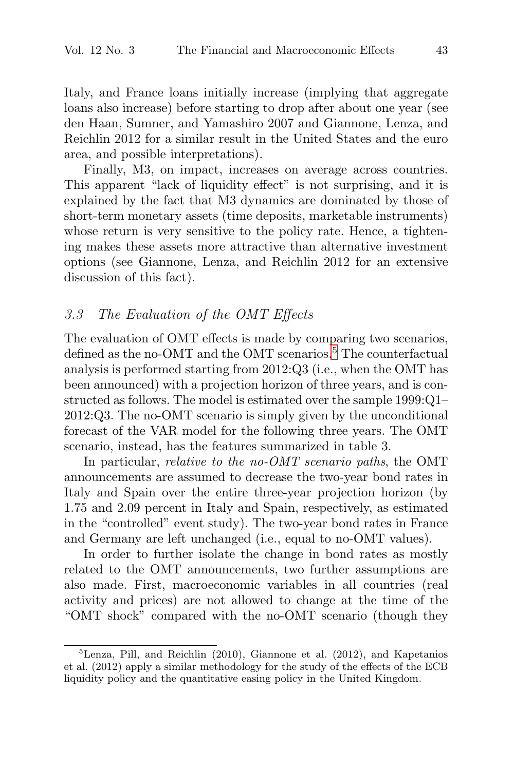Italy, and France loans initially increase (implying that aggregate loans also increase) before starting to drop after about one year (see den Haan, Sumner, and Yamashiro 2007 and Giannone, Lenza, and Reichlin 2012 for a similar result in the United States and the euro area, and possible interpretations).

Finally, M3, on impact, increases on average across countries. This apparent "lack of liquidity effect" is not surprising, and it is explained by the fact that M3 dynamics are dominated by those of short-term monetary assets (time deposits, marketable instruments) whose return is very sensitive to the policy rate. Hence, a tightening makes these assets more attractive than alternative investment options (see Giannone, Lenza, and Reichlin 2012 for an extensive discussion of this fact).

#### 3.3 The Evaluation of the OMT Effects

The evaluation of OMT effects is made by comparing two scenarios, defined as the no-OMT and the OMT scenarios.<sup>5</sup> The counterfactual analysis is performed starting from 2012:Q3 (i.e., when the OMT has been announced) with a projection horizon of three years, and is constructed as follows. The model is estimated over the sample 1999:Q1– 2012:Q3. The no-OMT scenario is simply given by the unconditional forecast of the VAR model for the following three years. The OMT scenario, instead, has the features summarized in table 3.

In particular, *relative to the no-OMT scenario paths*, the OMT announcements are assumed to decrease the two-year bond rates in Italy and Spain over the entire three-year projection horizon (by 1.75 and 2.09 percent in Italy and Spain, respectively, as estimated in the "controlled" event study). The two-year bond rates in France and Germany are left unchanged (i.e., equal to no-OMT values).

In order to further isolate the change in bond rates as mostly related to the OMT announcements, two further assumptions are also made. First, macroeconomic variables in all countries (real activity and prices) are not allowed to change at the time of the "OMT shock" compared with the no-OMT scenario (though they

<sup>5</sup>Lenza, Pill, and Reichlin (2010), Giannone et al. (2012), and Kapetanios et al. (2012) apply a similar methodology for the study of the effects of the ECB liquidity policy and the quantitative easing policy in the United Kingdom.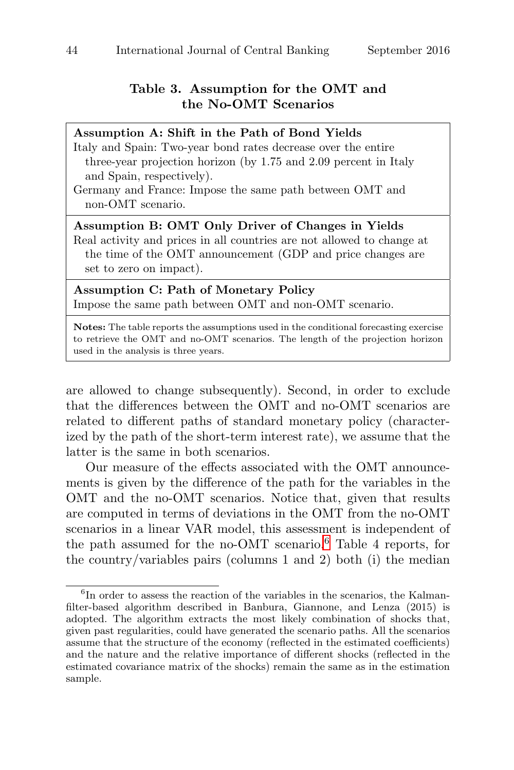#### **Table 3. Assumption for the OMT and the No-OMT Scenarios**

| Assumption A: Shift in the Path of Bond Yields                         |
|------------------------------------------------------------------------|
| Italy and Spain: Two-year bond rates decrease over the entire          |
| three-year projection horizon (by 1.75 and 2.09 percent in Italy       |
| and Spain, respectively).                                              |
| Germany and France: Impose the same path between OMT and               |
| non-OMT scenario.                                                      |
| Assumption B: OMT Only Driver of Changes in Yields                     |
| Real activity and prices in all countries are not allowed to change at |
| the time of the OMT announcement (GDP and price changes are            |
| set to zero on impact).                                                |
|                                                                        |

**Assumption C: Path of Monetary Policy** Impose the same path between OMT and non-OMT scenario.

**Notes:** The table reports the assumptions used in the conditional forecasting exercise to retrieve the OMT and no-OMT scenarios. The length of the projection horizon used in the analysis is three years.

are allowed to change subsequently). Second, in order to exclude that the differences between the OMT and no-OMT scenarios are related to different paths of standard monetary policy (characterized by the path of the short-term interest rate), we assume that the latter is the same in both scenarios.

Our measure of the effects associated with the OMT announcements is given by the difference of the path for the variables in the OMT and the no-OMT scenarios. Notice that, given that results are computed in terms of deviations in the OMT from the no-OMT scenarios in a linear VAR model, this assessment is independent of the path assumed for the no-OMT scenario.<sup>6</sup> Table 4 reports, for the country/variables pairs (columns 1 and 2) both (i) the median

<sup>&</sup>lt;sup>6</sup>In order to assess the reaction of the variables in the scenarios, the Kalmanfilter-based algorithm described in Banbura, Giannone, and Lenza (2015) is adopted. The algorithm extracts the most likely combination of shocks that, given past regularities, could have generated the scenario paths. All the scenarios assume that the structure of the economy (reflected in the estimated coefficients) and the nature and the relative importance of different shocks (reflected in the estimated covariance matrix of the shocks) remain the same as in the estimation sample.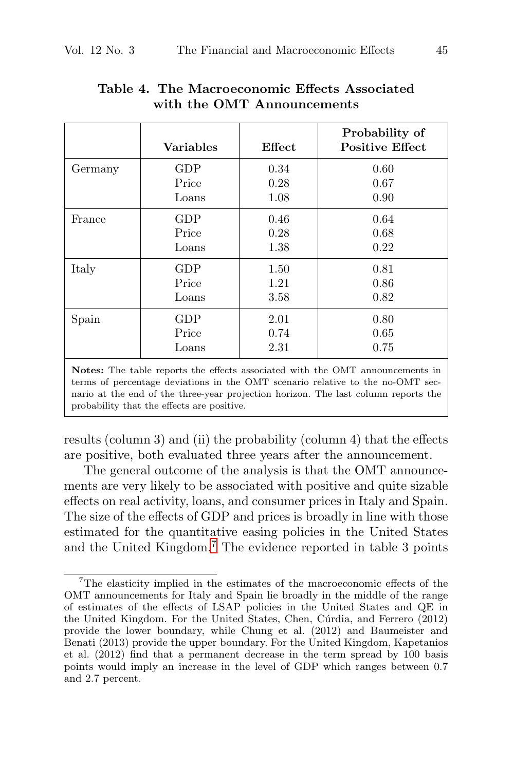|         | <b>Variables</b> | Effect | Probability of<br><b>Positive Effect</b> |
|---------|------------------|--------|------------------------------------------|
| Germany | GDP              | 0.34   | 0.60                                     |
|         | Price            | 0.28   | 0.67                                     |
|         | Loans            | 1.08   | 0.90                                     |
| France  | GDP              | 0.46   | 0.64                                     |
|         | Price            | 0.28   | 0.68                                     |
|         | Loans            | 1.38   | 0.22                                     |
| Italy   | GDP              | 1.50   | 0.81                                     |
|         | Price            | 1.21   | 0.86                                     |
|         | Loans            | 3.58   | 0.82                                     |
| Spain   | GDP              | 2.01   | 0.80                                     |
|         | Price            | 0.74   | 0.65                                     |
|         | Loans            | 2.31   | 0.75                                     |

# **Table 4. The Macroeconomic Effects Associated with the OMT Announcements**

**Notes:** The table reports the effects associated with the OMT announcements in terms of percentage deviations in the OMT scenario relative to the no-OMT secnario at the end of the three-year projection horizon. The last column reports the probability that the effects are positive.

results (column 3) and (ii) the probability (column 4) that the effects are positive, both evaluated three years after the announcement.

The general outcome of the analysis is that the OMT announcements are very likely to be associated with positive and quite sizable effects on real activity, loans, and consumer prices in Italy and Spain. The size of the effects of GDP and prices is broadly in line with those estimated for the quantitative easing policies in the United States and the United Kingdom.<sup>7</sup> The evidence reported in table 3 points

<sup>7</sup>The elasticity implied in the estimates of the macroeconomic effects of the OMT announcements for Italy and Spain lie broadly in the middle of the range of estimates of the effects of LSAP policies in the United States and QE in the United Kingdom. For the United States, Chen, Cúrdia, and Ferrero (2012) provide the lower boundary, while Chung et al. (2012) and Baumeister and Benati (2013) provide the upper boundary. For the United Kingdom, Kapetanios et al. (2012) find that a permanent decrease in the term spread by 100 basis points would imply an increase in the level of GDP which ranges between 0.7 and 2.7 percent.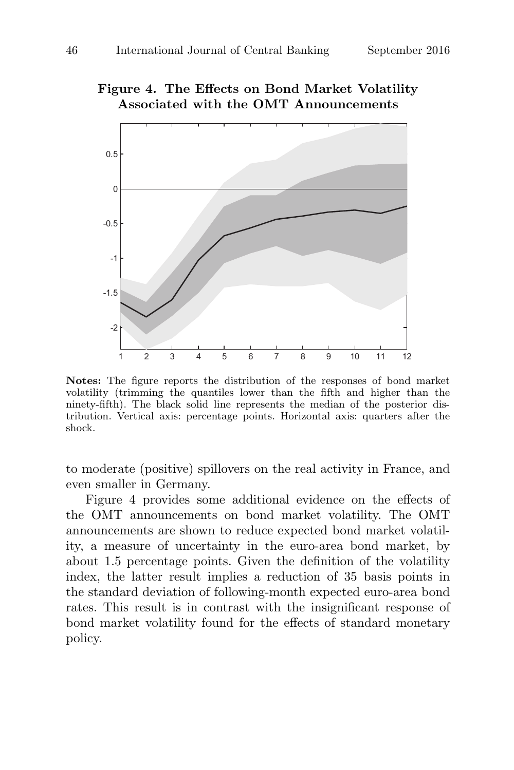# **Figure 4. The Effects on Bond Market Volatility Associated with the OMT Announcements**



**Notes:** The figure reports the distribution of the responses of bond market volatility (trimming the quantiles lower than the fifth and higher than the ninety-fifth). The black solid line represents the median of the posterior distribution. Vertical axis: percentage points. Horizontal axis: quarters after the shock.

to moderate (positive) spillovers on the real activity in France, and even smaller in Germany.

Figure 4 provides some additional evidence on the effects of the OMT announcements on bond market volatility. The OMT announcements are shown to reduce expected bond market volatility, a measure of uncertainty in the euro-area bond market, by about 1.5 percentage points. Given the definition of the volatility index, the latter result implies a reduction of 35 basis points in the standard deviation of following-month expected euro-area bond rates. This result is in contrast with the insignificant response of bond market volatility found for the effects of standard monetary policy.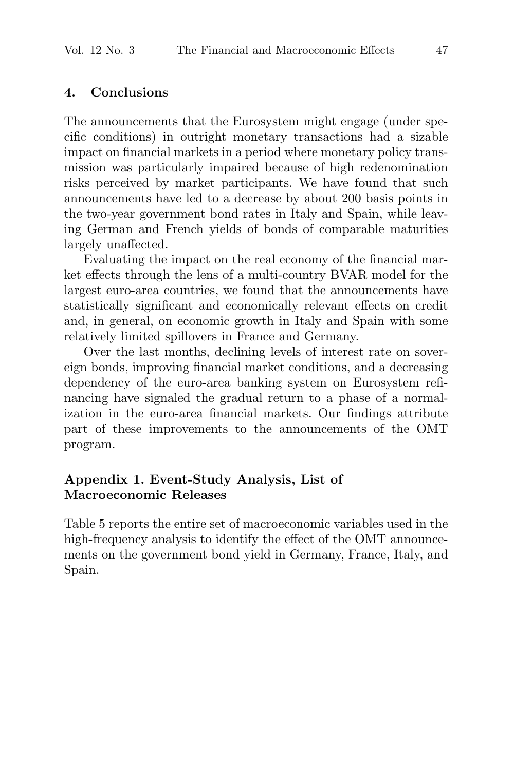#### **4. Conclusions**

The announcements that the Eurosystem might engage (under specific conditions) in outright monetary transactions had a sizable impact on financial markets in a period where monetary policy transmission was particularly impaired because of high redenomination risks perceived by market participants. We have found that such announcements have led to a decrease by about 200 basis points in the two-year government bond rates in Italy and Spain, while leaving German and French yields of bonds of comparable maturities largely unaffected.

Evaluating the impact on the real economy of the financial market effects through the lens of a multi-country BVAR model for the largest euro-area countries, we found that the announcements have statistically significant and economically relevant effects on credit and, in general, on economic growth in Italy and Spain with some relatively limited spillovers in France and Germany.

Over the last months, declining levels of interest rate on sovereign bonds, improving financial market conditions, and a decreasing dependency of the euro-area banking system on Eurosystem refinancing have signaled the gradual return to a phase of a normalization in the euro-area financial markets. Our findings attribute part of these improvements to the announcements of the OMT program.

#### **Appendix 1. Event-Study Analysis, List of Macroeconomic Releases**

Table 5 reports the entire set of macroeconomic variables used in the high-frequency analysis to identify the effect of the OMT announcements on the government bond yield in Germany, France, Italy, and Spain.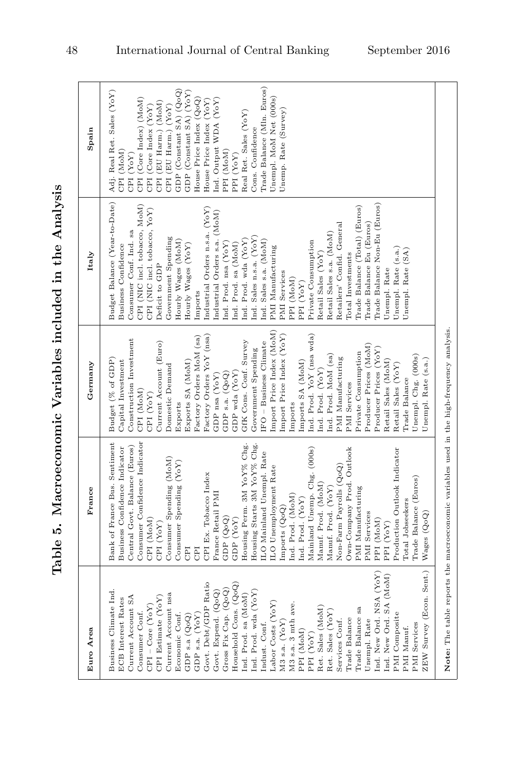Table 5. Macroeconomic Variables included in the Analysis **Table 5. Macroeconomic Variables included in the Analysis**

| Euro Area                                                                                                                                                                                                                                                                                                                                                                                                                                                                                                                                                                                                                                                                                                                               | France                                                                                                                                                                                                                                                                                                                                                                                                                                                                                                                                                                                                                                                                                                                                                                             | Germany                                                                                                                                                                                                                                                                                                                                                                                                                                                                                                                                                                                                                                                                                                                                                      | Italy                                                                                                                                                                                                                                                                                                                                                                                                                                                                                                                                                                                                                                                                                                                                                                                          | Spain                                                                                                                                                                                                                                                                                                                                                                                                                                               |
|-----------------------------------------------------------------------------------------------------------------------------------------------------------------------------------------------------------------------------------------------------------------------------------------------------------------------------------------------------------------------------------------------------------------------------------------------------------------------------------------------------------------------------------------------------------------------------------------------------------------------------------------------------------------------------------------------------------------------------------------|------------------------------------------------------------------------------------------------------------------------------------------------------------------------------------------------------------------------------------------------------------------------------------------------------------------------------------------------------------------------------------------------------------------------------------------------------------------------------------------------------------------------------------------------------------------------------------------------------------------------------------------------------------------------------------------------------------------------------------------------------------------------------------|--------------------------------------------------------------------------------------------------------------------------------------------------------------------------------------------------------------------------------------------------------------------------------------------------------------------------------------------------------------------------------------------------------------------------------------------------------------------------------------------------------------------------------------------------------------------------------------------------------------------------------------------------------------------------------------------------------------------------------------------------------------|------------------------------------------------------------------------------------------------------------------------------------------------------------------------------------------------------------------------------------------------------------------------------------------------------------------------------------------------------------------------------------------------------------------------------------------------------------------------------------------------------------------------------------------------------------------------------------------------------------------------------------------------------------------------------------------------------------------------------------------------------------------------------------------------|-----------------------------------------------------------------------------------------------------------------------------------------------------------------------------------------------------------------------------------------------------------------------------------------------------------------------------------------------------------------------------------------------------------------------------------------------------|
| ZEW Survey (Econ. Sent.)<br>Ind. New Ord. NSA (YoY)<br>Ind. New Ord. SA (MoM)<br>Govt. Debt/GDP Ratio<br>Household Cons. (QoQ)<br>Gross Fix Cap. (QoQ)<br>Business Climate Ind.<br>Govt. Expend. (QoQ)<br>Ind. Prod. wda (YoY)<br>Current Account nsa<br>Ind. Prod. sa (MoM)<br>CPI Estimate (YoY)<br>Current Account SA<br><b>ECB</b> Interest Rates<br>Labor Costs (YoY)<br>M3 s.a. 3 mth ave.<br>$CPI - Core (YoY)$<br>Ret. Sales (MoM)<br>Trade Balance sa<br>Ret. Sales (YoY)<br>Consumer Conf.<br>PMI Composite<br>GDP s.a. (YoY)<br>Economic Conf.<br>$GDP$ s.a $(Q_0Q)$<br>Trade Balance<br>Services Conf.<br>Unempl. Rate<br>$M3$ s.a. $(YoY)$<br>Indust. Conf.<br><b>PMI</b> Services<br>PMI Manuf.<br>PPI (MoM)<br>PPI (YoY) | Consumer Confidence Indicator<br>Housing Starts 3M YoY% Chg.<br>Bank of France Bus. Sentiment<br>Housing Perm. 3M YoY% Chg.<br>Business Confidence Indicator<br>Central Govt. Balance (Euros)<br>Mainland Unemp. Chg. (000s)<br>Own-Company Prod. Outlook<br>Production Outlook Indicator<br>ILO Mainland Unempl. Rate<br>Consumer Spending (MoM)<br>Consumer Spending (YoY)<br>Non-Farm Payrolls (QoQ)<br>ILO Unemployment Rate<br>CPI Ex. Tobacco Index<br>Trade Balance (Euros)<br>Manuf. Prod. (MoM)<br>Manuf. Prod. (YoY)<br>PMI Manufacturing<br>France Retail PMI<br>Ind. Prod. (MoM)<br>Ind. Prod. (YoY)<br>Total Jobseekers<br>Imports $(Q_0Q)$<br>PMI Services<br>Wages (QoQ)<br>GDP(QoQ)<br>CPI (MoM)<br>GDP (YoY)<br>PPI (MoM)<br>CPI (YoY)<br>PPI (YoY)<br>CPI<br>CPI | Import Price Index (MoM)<br>Ind. Prod. YoY (nsa wda)<br>Import Price Index (YoY)<br>Factory Orders YoY (nsa)<br>Factory Orders MoM (sa)<br>Construction Investment<br>Current Account (Euro)<br>$IFO - Business$ Climate<br>GfK Cons. Conf. Survey<br>Producer Prices (MoM)<br>Government Spending<br>Producer Prices (YoY)<br>Private Consumption<br>Ind. Prod. MoM (sa)<br>Unempl. Chg. (000s)<br>PMI Manufacturing<br>Budget (% of GDP)<br>Capital Investment<br>Unempl. Rate (s.a.)<br>Exports SA (MoM)<br>Imports SA (MoM)<br>Retail Sales (MoM)<br>Retail Sales (YoY)<br>Domestic Demand<br>Ind. Prod. (YoY)<br>GDP wda (YoY)<br>$GDP$ s.a. $(Q_0Q)$<br>GDP nsa (YoY)<br>Trade Balance<br>PMI Services<br>CPI (MoM)<br>CPI (YoY)<br>Exports<br>Imports | Budget Balance (Year-to-Date)<br>Trade Balance Non-Eu (Euros)<br>CPI (NIC incl. tobacco, MoM)<br>Trade Balance (Total) (Euros)<br>Industrial Orders n.s.a. (YoY)<br>CPI (NIC incl. tobacco, YoY)<br>Industrial Orders s.a. (MoM)<br>Trade Balance Eu (Euros)<br>Retailers' Confid. General<br>Consumer Conf. Ind. sa<br>Retail Sales s.a. (MoM)<br>Ind. Sales n.s.a. (YoY)<br>Government Spending<br>Ind. Prod. wda (YoY)<br>Hourly Wages (MoM)<br>Ind. Sales s.a. (MoM)<br>Private Consumption<br>Ind. Prod. nsa (YoY)<br>Ind. Prod. sa (MoM)<br>Hourly Wages (YoY)<br>Business Confidence<br>PMI Manufacturing<br>Unempl. Rate (s.a.)<br>Unempl. Rate (SA)<br>Retail Sales (YoY)<br>Total Investments<br>Deficit to GDP<br>Unempl. Rate<br>PMI Services<br>PPI (MoM)<br>PPI (YoY)<br>Imports | Trade Balance (Mln. Euros)<br>GDP (Constant SA) (QoQ)<br>Adj. Real Ret. Sales (YoY)<br>GDP (Constant SA) (YoY)<br>Unempl. MoM Net (000s)<br>CPI (Core Index) (MoM)<br>House Price Index (QoQ)<br>Ind. Output WDA (YoY)<br>House Price Index (YoY)<br>CPI (EU Harm.) (MoM)<br>CPI (Core Index (YoY)<br>CPI (EU Harm.) (YoY)<br>Unemp. Rate (Survey)<br>Real Ret. Sales (YoY)<br>Cons. Confidence<br>PPI (MoM)<br>CPI (MoM)<br>CPI (YoY)<br>PPI (YoY) |
|                                                                                                                                                                                                                                                                                                                                                                                                                                                                                                                                                                                                                                                                                                                                         | Note: The table reports the macroeconomic variables used in the high-frequency analysis.                                                                                                                                                                                                                                                                                                                                                                                                                                                                                                                                                                                                                                                                                           |                                                                                                                                                                                                                                                                                                                                                                                                                                                                                                                                                                                                                                                                                                                                                              |                                                                                                                                                                                                                                                                                                                                                                                                                                                                                                                                                                                                                                                                                                                                                                                                |                                                                                                                                                                                                                                                                                                                                                                                                                                                     |

48 International Journal of Central Banking September 2016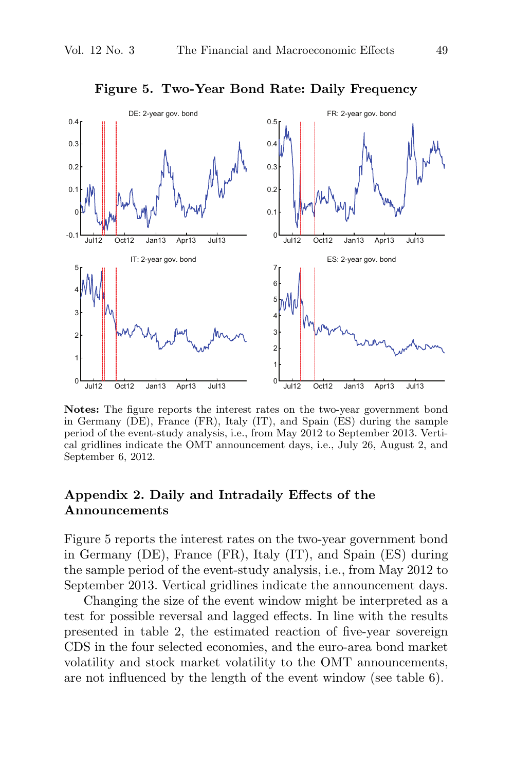

**Figure 5. Two-Year Bond Rate: Daily Frequency**

**Notes:** The figure reports the interest rates on the two-year government bond in Germany (DE), France (FR), Italy (IT), and Spain (ES) during the sample period of the event-study analysis, i.e., from May 2012 to September 2013. Vertical gridlines indicate the OMT announcement days, i.e., July 26, August 2, and September 6, 2012.

#### **Appendix 2. Daily and Intradaily Effects of the Announcements**

Figure 5 reports the interest rates on the two-year government bond in Germany (DE), France (FR), Italy (IT), and Spain (ES) during the sample period of the event-study analysis, i.e., from May 2012 to September 2013. Vertical gridlines indicate the announcement days.

Changing the size of the event window might be interpreted as a test for possible reversal and lagged effects. In line with the results presented in table 2, the estimated reaction of five-year sovereign CDS in the four selected economies, and the euro-area bond market volatility and stock market volatility to the OMT announcements, are not influenced by the length of the event window (see table 6).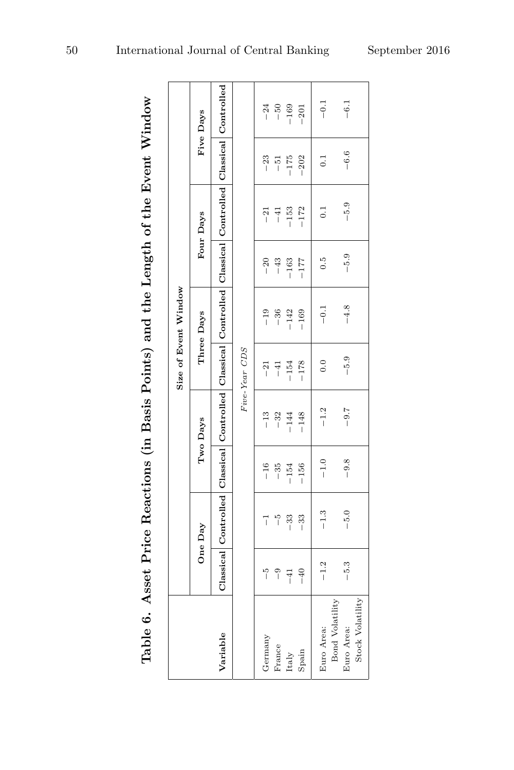Table 6. Asset Price Reactions (in Basis Points) and the Length of the Event Window

|                               |               |                                                                                                          |                |          |               | Size of Event Window |        |                  |                  |           |
|-------------------------------|---------------|----------------------------------------------------------------------------------------------------------|----------------|----------|---------------|----------------------|--------|------------------|------------------|-----------|
|                               |               | One Day                                                                                                  |                | Two Days |               | Three Days           |        | Four Days        |                  | Five Days |
| Variable                      |               | Classical Controlled Classical Controlled Classical Controlled Classical Controlled Classical Controlled |                |          |               |                      |        |                  |                  |           |
|                               |               |                                                                                                          |                |          | Five-Year CDS |                      |        |                  |                  |           |
| Germany                       | ှိ            | 7                                                                                                        |                | $-13$    | $-21$         | $-19$                | $-20$  | $^{-21}$         | $-23$            | $-24$     |
| France                        | $\frac{1}{2}$ | $\frac{5}{1}$                                                                                            | $-16$<br>$-35$ | $-32$    | $-41$         | $-36$                | $-43$  | $-41$            | $-51$            | $-50$     |
| Italy                         | $-41$         | $-33$                                                                                                    | $-154$         | $-144$   | $-154$        | $-142$               | $-163$ | $-153$           | $-175$           | $-169$    |
| Spain                         | $-40$         | $-33$                                                                                                    | $-156$         | $-148$   | $-178$        | $-169$               | $-177$ | $-172$           | $-202$           | $-201$    |
| Euro Area:                    | $-1.2$        | $-1.3$                                                                                                   | $-1.0$         | $-1.2$   | $\frac{0}{2}$ | $-0.1$               | 0.5    | $\overline{0}$ : | $\overline{0}$ . | $-0.1$    |
| Bond Volatility<br>Euro Area: | $-5.3$        | $-5.0$                                                                                                   | $-9.8$         | $-9.7$   | $-5.9$        | $-4.8$               | $-5.9$ | $-5.9$           | $-6.6$           | $-6.1$    |
| Stock Volatility              |               |                                                                                                          |                |          |               |                      |        |                  |                  |           |

F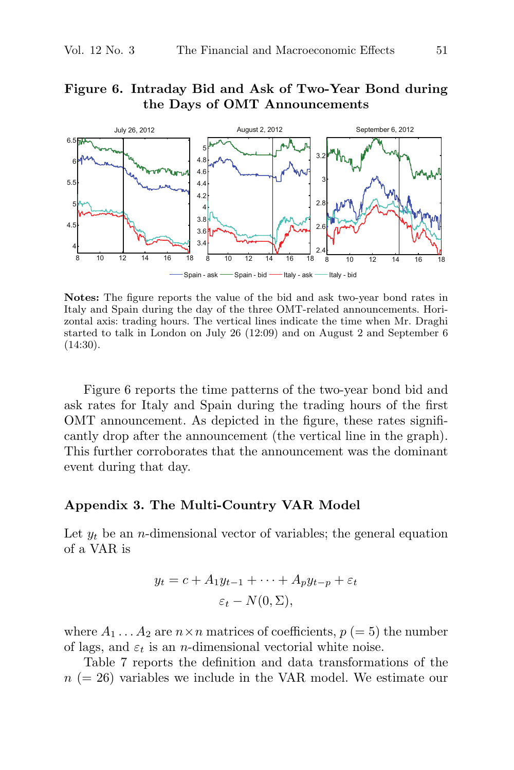#### **Figure 6. Intraday Bid and Ask of Two-Year Bond during the Days of OMT Announcements**



**Notes:** The figure reports the value of the bid and ask two-year bond rates in Italy and Spain during the day of the three OMT-related announcements. Horizontal axis: trading hours. The vertical lines indicate the time when Mr. Draghi started to talk in London on July 26 (12:09) and on August 2 and September 6  $(14:30).$ 

Figure 6 reports the time patterns of the two-year bond bid and ask rates for Italy and Spain during the trading hours of the first OMT announcement. As depicted in the figure, these rates significantly drop after the announcement (the vertical line in the graph). This further corroborates that the announcement was the dominant event during that day.

#### **Appendix 3. The Multi-Country VAR Model**

Let  $y_t$  be an *n*-dimensional vector of variables; the general equation of a VAR is

$$
y_t = c + A_1 y_{t-1} + \dots + A_p y_{t-p} + \varepsilon_t
$$
  

$$
\varepsilon_t - N(0, \Sigma),
$$

where  $A_1 \ldots A_2$  are  $n \times n$  matrices of coefficients,  $p (= 5)$  the number of lags, and  $\varepsilon_t$  is an *n*-dimensional vectorial white noise.

Table 7 reports the definition and data transformations of the  $n (= 26)$  variables we include in the VAR model. We estimate our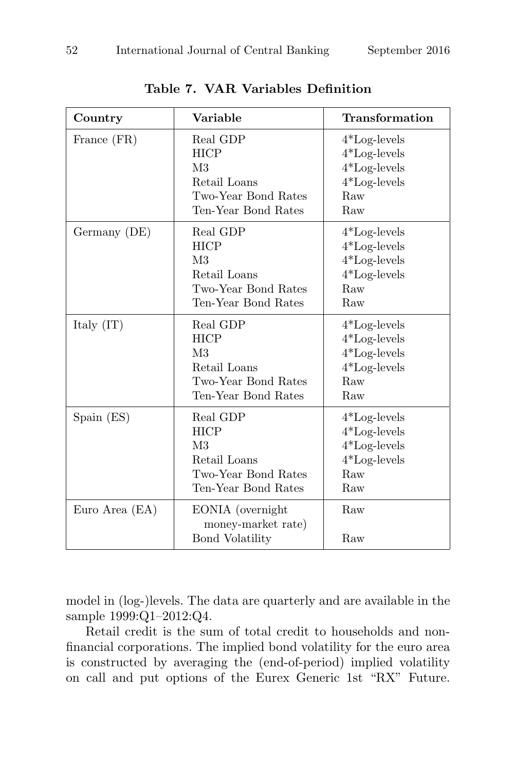| Country        | Variable                                                                                                | Transformation                                                                     |
|----------------|---------------------------------------------------------------------------------------------------------|------------------------------------------------------------------------------------|
| France (FR)    | Real GDP<br><b>HICP</b><br>M <sub>3</sub><br>Retail Loans<br>Two-Year Bond Rates<br>Ten-Year Bond Rates | $4*Log-levels$<br>$4*Log-levels$<br>$4*Log-levels$<br>$4*Log-levels$<br>Raw<br>Raw |
| Germany (DE)   | Real GDP<br><b>HICP</b><br>M <sub>3</sub><br>Retail Loans<br>Two-Year Bond Rates<br>Ten-Year Bond Rates | $4*Log-levels$<br>$4*Log-levels$<br>$4*Log-levels$<br>$4*Log-levels$<br>Raw<br>Raw |
| Italy $(IT)$   | Real GDP<br><b>HICP</b><br>M <sub>3</sub><br>Retail Loans<br>Two-Year Bond Rates<br>Ten-Year Bond Rates | $4*Log-levels$<br>$4*Log-levels$<br>$4*Log-levels$<br>$4*Log-levels$<br>Raw<br>Raw |
| Span(ES)       | Real GDP<br><b>HICP</b><br>M <sub>3</sub><br>Retail Loans<br>Two-Year Bond Rates<br>Ten-Year Bond Rates | $4*Log-levels$<br>$4*Log-levels$<br>$4*Log-levels$<br>$4*Log-levels$<br>Raw<br>Raw |
| Euro Area (EA) | EONIA (overnight<br>money-market rate)<br><b>Bond Volatility</b>                                        | Raw<br>Raw                                                                         |

**Table 7. VAR Variables Definition**

model in (log-)levels. The data are quarterly and are available in the sample 1999:Q1–2012:Q4.

Retail credit is the sum of total credit to households and nonfinancial corporations. The implied bond volatility for the euro area is constructed by averaging the (end-of-period) implied volatility on call and put options of the Eurex Generic 1st "RX" Future.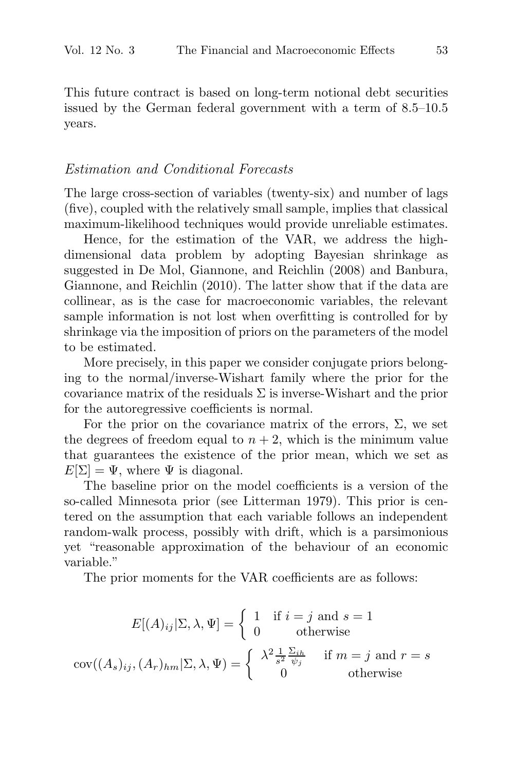This future contract is based on long-term notional debt securities issued by the German federal government with a term of 8.5–10.5 years.

#### Estimation and Conditional Forecasts

The large cross-section of variables (twenty-six) and number of lags (five), coupled with the relatively small sample, implies that classical maximum-likelihood techniques would provide unreliable estimates.

Hence, for the estimation of the VAR, we address the highdimensional data problem by adopting Bayesian shrinkage as suggested in De Mol, Giannone, and Reichlin (2008) and Banbura, Giannone, and Reichlin (2010). The latter show that if the data are collinear, as is the case for macroeconomic variables, the relevant sample information is not lost when overfitting is controlled for by shrinkage via the imposition of priors on the parameters of the model to be estimated.

More precisely, in this paper we consider conjugate priors belonging to the normal/inverse-Wishart family where the prior for the covariance matrix of the residuals  $\Sigma$  is inverse-Wishart and the prior for the autoregressive coefficients is normal.

For the prior on the covariance matrix of the errors,  $\Sigma$ , we set the degrees of freedom equal to  $n + 2$ , which is the minimum value that guarantees the existence of the prior mean, which we set as  $E[\Sigma] = \Psi$ , where  $\Psi$  is diagonal.

The baseline prior on the model coefficients is a version of the so-called Minnesota prior (see Litterman 1979). This prior is centered on the assumption that each variable follows an independent random-walk process, possibly with drift, which is a parsimonious yet "reasonable approximation of the behaviour of an economic variable."

The prior moments for the VAR coefficients are as follows:

$$
E[(A)_{ij}|\Sigma,\lambda,\Psi] = \begin{cases} 1 & \text{if } i = j \text{ and } s = 1\\ 0 & \text{otherwise} \end{cases}
$$

$$
cov((A_s)_{ij}, (A_r)_{hm}|\Sigma,\lambda,\Psi) = \begin{cases} \lambda^2 \frac{1}{s^2} \frac{\Sigma_{ih}}{\psi_j} & \text{if } m = j \text{ and } r = s\\ 0 & \text{otherwise} \end{cases}
$$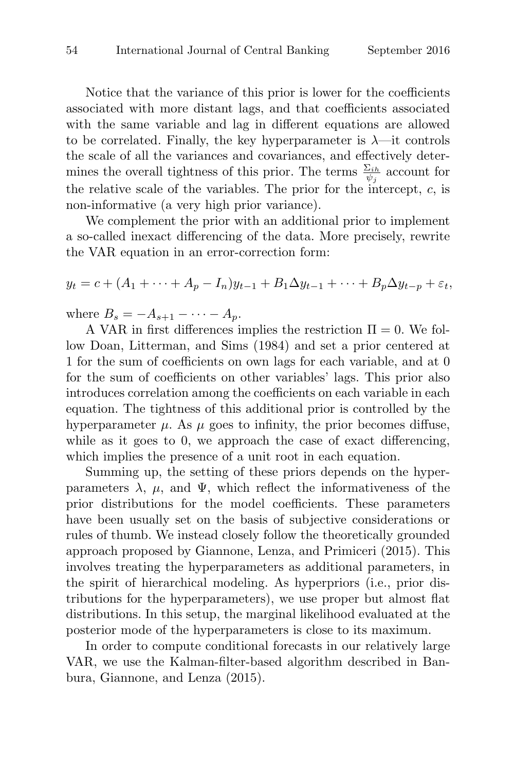Notice that the variance of this prior is lower for the coefficients associated with more distant lags, and that coefficients associated with the same variable and lag in different equations are allowed to be correlated. Finally, the key hyperparameter is  $\lambda$ —it controls the scale of all the variances and covariances, and effectively determines the overall tightness of this prior. The terms  $\frac{\Sigma_{ih}}{\psi_j}$  account for the relative scale of the variables. The prior for the intercept,  $c$ , is non-informative (a very high prior variance).

We complement the prior with an additional prior to implement a so-called inexact differencing of the data. More precisely, rewrite the VAR equation in an error-correction form:

$$
y_t = c + (A_1 + \dots + A_p - I_n)y_{t-1} + B_1 \Delta y_{t-1} + \dots + B_p \Delta y_{t-p} + \varepsilon_t,
$$

where  $B_s = -A_{s+1} - \cdots - A_p$ .

A VAR in first differences implies the restriction  $\Pi = 0$ . We follow Doan, Litterman, and Sims (1984) and set a prior centered at 1 for the sum of coefficients on own lags for each variable, and at 0 for the sum of coefficients on other variables' lags. This prior also introduces correlation among the coefficients on each variable in each equation. The tightness of this additional prior is controlled by the hyperparameter  $\mu$ . As  $\mu$  goes to infinity, the prior becomes diffuse, while as it goes to 0, we approach the case of exact differencing, which implies the presence of a unit root in each equation.

Summing up, the setting of these priors depends on the hyperparameters  $\lambda$ ,  $\mu$ , and  $\Psi$ , which reflect the informativeness of the prior distributions for the model coefficients. These parameters have been usually set on the basis of subjective considerations or rules of thumb. We instead closely follow the theoretically grounded approach proposed by Giannone, Lenza, and Primiceri (2015). This involves treating the hyperparameters as additional parameters, in the spirit of hierarchical modeling. As hyperpriors (i.e., prior distributions for the hyperparameters), we use proper but almost flat distributions. In this setup, the marginal likelihood evaluated at the posterior mode of the hyperparameters is close to its maximum.

In order to compute conditional forecasts in our relatively large VAR, we use the Kalman-filter-based algorithm described in Banbura, Giannone, and Lenza (2015).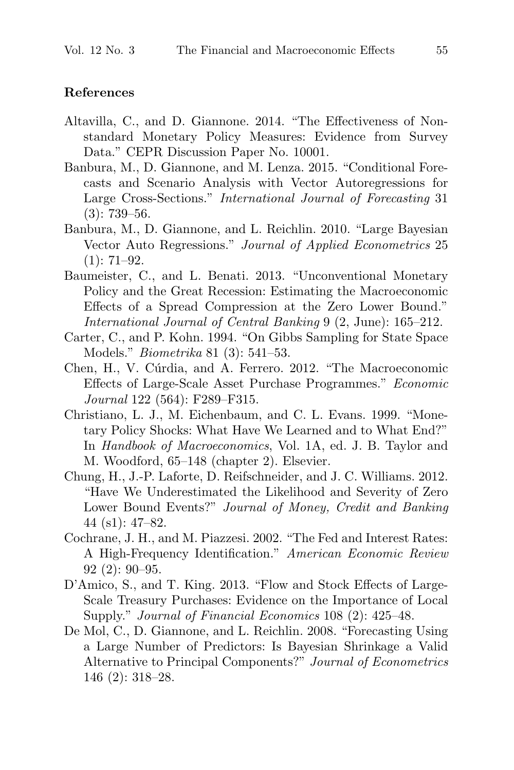#### **References**

- Altavilla, C., and D. Giannone. 2014. "The Effectiveness of Nonstandard Monetary Policy Measures: Evidence from Survey Data." CEPR Discussion Paper No. 10001.
- Banbura, M., D. Giannone, and M. Lenza. 2015. "Conditional Forecasts and Scenario Analysis with Vector Autoregressions for Large Cross-Sections." International Journal of Forecasting 31 (3): 739–56.
- Banbura, M., D. Giannone, and L. Reichlin. 2010. "Large Bayesian Vector Auto Regressions." Journal of Applied Econometrics 25  $(1): 71-92.$
- Baumeister, C., and L. Benati. 2013. "Unconventional Monetary Policy and the Great Recession: Estimating the Macroeconomic Effects of a Spread Compression at the Zero Lower Bound." International Journal of Central Banking 9 (2, June): 165–212.
- Carter, C., and P. Kohn. 1994. "On Gibbs Sampling for State Space Models." Biometrika 81 (3): 541–53.
- Chen, H., V. Cúrdia, and A. Ferrero. 2012. "The Macroeconomic Effects of Large-Scale Asset Purchase Programmes." Economic Journal 122 (564): F289–F315.
- Christiano, L. J., M. Eichenbaum, and C. L. Evans. 1999. "Monetary Policy Shocks: What Have We Learned and to What End?" In Handbook of Macroeconomics, Vol. 1A, ed. J. B. Taylor and M. Woodford, 65–148 (chapter 2). Elsevier.
- Chung, H., J.-P. Laforte, D. Reifschneider, and J. C. Williams. 2012. "Have We Underestimated the Likelihood and Severity of Zero Lower Bound Events?" Journal of Money, Credit and Banking 44 (s1): 47–82.
- Cochrane, J. H., and M. Piazzesi. 2002. "The Fed and Interest Rates: A High-Frequency Identification." American Economic Review 92 (2): 90–95.
- D'Amico, S., and T. King. 2013. "Flow and Stock Effects of Large-Scale Treasury Purchases: Evidence on the Importance of Local Supply." Journal of Financial Economics 108 (2): 425–48.
- De Mol, C., D. Giannone, and L. Reichlin. 2008. "Forecasting Using a Large Number of Predictors: Is Bayesian Shrinkage a Valid Alternative to Principal Components?" Journal of Econometrics 146 (2): 318–28.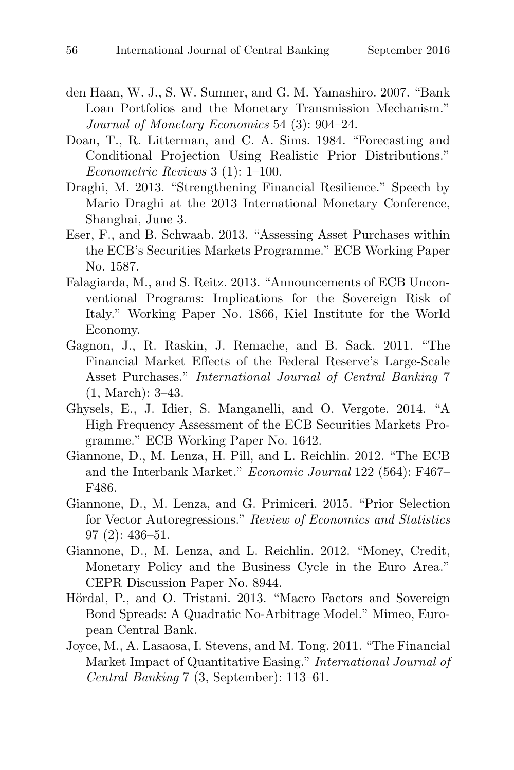- den Haan, W. J., S. W. Sumner, and G. M. Yamashiro. 2007. "Bank Loan Portfolios and the Monetary Transmission Mechanism." Journal of Monetary Economics 54 (3): 904–24.
- Doan, T., R. Litterman, and C. A. Sims. 1984. "Forecasting and Conditional Projection Using Realistic Prior Distributions." Econometric Reviews 3 (1): 1–100.
- Draghi, M. 2013. "Strengthening Financial Resilience." Speech by Mario Draghi at the 2013 International Monetary Conference, Shanghai, June 3.
- Eser, F., and B. Schwaab. 2013. "Assessing Asset Purchases within the ECB's Securities Markets Programme." ECB Working Paper No. 1587.
- Falagiarda, M., and S. Reitz. 2013. "Announcements of ECB Unconventional Programs: Implications for the Sovereign Risk of Italy." Working Paper No. 1866, Kiel Institute for the World Economy.
- Gagnon, J., R. Raskin, J. Remache, and B. Sack. 2011. "The Financial Market Effects of the Federal Reserve's Large-Scale Asset Purchases." International Journal of Central Banking 7 (1, March): 3–43.
- Ghysels, E., J. Idier, S. Manganelli, and O. Vergote. 2014. "A High Frequency Assessment of the ECB Securities Markets Programme." ECB Working Paper No. 1642.
- Giannone, D., M. Lenza, H. Pill, and L. Reichlin. 2012. "The ECB and the Interbank Market." Economic Journal 122 (564): F467– F486.
- Giannone, D., M. Lenza, and G. Primiceri. 2015. "Prior Selection for Vector Autoregressions." Review of Economics and Statistics 97 (2): 436–51.
- Giannone, D., M. Lenza, and L. Reichlin. 2012. "Money, Credit, Monetary Policy and the Business Cycle in the Euro Area." CEPR Discussion Paper No. 8944.
- Hördal, P., and O. Tristani. 2013. "Macro Factors and Sovereign Bond Spreads: A Quadratic No-Arbitrage Model." Mimeo, European Central Bank.
- Joyce, M., A. Lasaosa, I. Stevens, and M. Tong. 2011. "The Financial Market Impact of Quantitative Easing." International Journal of Central Banking 7 (3, September): 113–61.